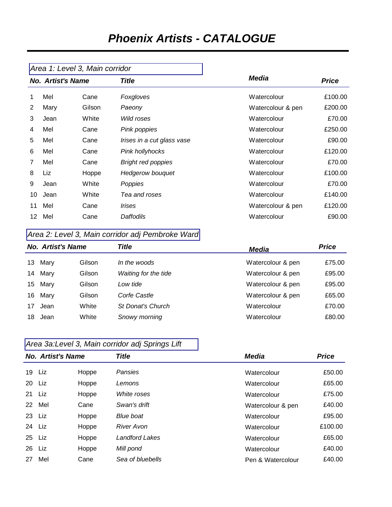# *Phoenix Artists - CATALOGUE*

|                          | Area 1: Level 3, Main corridor |        |                            |                   |              |
|--------------------------|--------------------------------|--------|----------------------------|-------------------|--------------|
| <b>No. Artist's Name</b> |                                |        | Title                      | Media             | <b>Price</b> |
| 1                        | Mel                            | Cane   | Foxgloves                  | Watercolour       | £100.00      |
| $\overline{2}$           | Mary                           | Gilson | Paeony                     | Watercolour & pen | £200.00      |
| 3                        | Jean                           | White  | Wild roses                 | Watercolour       | £70.00       |
| 4                        | Mel                            | Cane   | Pink poppies               | Watercolour       | £250.00      |
| 5                        | Mel                            | Cane   | Irises in a cut glass vase | Watercolour       | £90.00       |
| 6                        | Mel                            | Cane   | Pink hollyhocks            | Watercolour       | £120.00      |
| $\overline{7}$           | Mel                            | Cane   | <b>Bright red poppies</b>  | Watercolour       | £70.00       |
| 8                        | Liz                            | Hoppe  | Hedgerow bouquet           | Watercolour       | £100.00      |
| 9                        | Jean                           | White  | Poppies                    | Watercolour       | £70.00       |
| 10                       | Jean                           | White  | Tea and roses              | Watercolour       | £140.00      |
| 11                       | Mel                            | Cane   | Irises                     | Watercolour & pen | £120.00      |
| 12                       | Mel                            | Cane   | Daffodils                  | Watercolour       | £90.00       |

### *Area 2: Level 3, Main corridor adj Pembroke Ward*

|      |        | Title                    | <b>Media</b>      | <b>Price</b> |  |
|------|--------|--------------------------|-------------------|--------------|--|
| Mary | Gilson | In the woods             | Watercolour & pen | £75.00       |  |
| Mary | Gilson | Waiting for the tide     | Watercolour & pen | £95.00       |  |
| Mary | Gilson | Low tide                 | Watercolour & pen | £95.00       |  |
| Mary | Gilson | Corfe Castle             | Watercolour & pen | £65.00       |  |
| Jean | White  | St Donat's Church        | Watercolour       | £70.00       |  |
| Jean | White  | Snowy morning            | Watercolour       | £80.00       |  |
|      |        | <b>No. Artist's Name</b> |                   |              |  |

## *Area 3a:Level 3, Main corridor adj Springs Lift*

| <b>No. Artist's Name</b> |        |       | Title            | Media             | <b>Price</b> |
|--------------------------|--------|-------|------------------|-------------------|--------------|
| 19                       | Liz    | Hoppe | Pansies          | Watercolour       | £50.00       |
| 20                       | Liz    | Hoppe | Lemons           | Watercolour       | £65.00       |
| 21                       | Liz.   | Hoppe | White roses      | Watercolour       | £75.00       |
| 22                       | Mel    | Cane  | Swan's drift     | Watercolour & pen | £40.00       |
|                          | 23 Liz | Hoppe | <b>Blue boat</b> | Watercolour       | £95.00       |
| 24                       | Liz    | Hoppe | River Avon       | Watercolour       | £100.00      |
| 25                       | Liz    | Hoppe | Landford Lakes   | Watercolour       | £65.00       |
| 26                       | Liz    | Hoppe | Mill pond        | Watercolour       | £40.00       |
| 27                       | Mel    | Cane  | Sea of bluebells | Pen & Watercolour | £40.00       |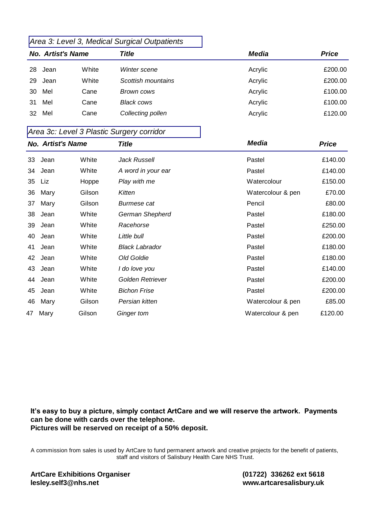### *Area 3: Level 3, Medical Surgical Outpatients*

| <b>No. Artist's Name</b> |      |       | <b>Title</b>       | Media   | <b>Price</b> |
|--------------------------|------|-------|--------------------|---------|--------------|
| 28                       | Jean | White | Winter scene       | Acrylic | £200.00      |
| 29                       | Jean | White | Scottish mountains | Acrylic | £200.00      |
| 30                       | Mel  | Cane  | Brown cows         | Acrylic | £100.00      |
| 31                       | Mel  | Cane  | <b>Black cows</b>  | Acrylic | £100.00      |
| 32                       | Mel  | Cane  | Collecting pollen  | Acrylic | £120.00      |
|                          |      |       |                    |         |              |

#### *Area 3c: Level 3 Plastic Surgery corridor*

| <b>No. Artist's Name</b> |      |        | <b>Title</b>          | <b>Media</b>      | <b>Price</b> |  |
|--------------------------|------|--------|-----------------------|-------------------|--------------|--|
| 33                       | Jean | White  | <b>Jack Russell</b>   | Pastel            | £140.00      |  |
| 34                       | Jean | White  | A word in your ear    | Pastel            | £140.00      |  |
| 35                       | Liz  | Hoppe  | Play with me          | Watercolour       | £150.00      |  |
| 36                       | Mary | Gilson | Kitten                | Watercolour & pen | £70.00       |  |
| 37                       | Mary | Gilson | Burmese cat           | Pencil            | £80.00       |  |
| 38                       | Jean | White  | German Shepherd       | Pastel            | £180.00      |  |
| 39                       | Jean | White  | Racehorse             | Pastel            | £250.00      |  |
| 40                       | Jean | White  | Little bull           | Pastel            | £200.00      |  |
| 41                       | Jean | White  | <b>Black Labrador</b> | Pastel            | £180.00      |  |
| 42                       | Jean | White  | Old Goldie            | Pastel            | £180.00      |  |
| 43                       | Jean | White  | I do love you         | Pastel            | £140.00      |  |
| 44                       | Jean | White  | Golden Retriever      | Pastel            | £200.00      |  |
| 45                       | Jean | White  | <b>Bichon Frise</b>   | Pastel            | £200.00      |  |
| 46                       | Mary | Gilson | Persian kitten        | Watercolour & pen | £85.00       |  |
| 47                       | Mary | Gilson | Ginger tom            | Watercolour & pen | £120.00      |  |

**It's easy to buy a picture, simply contact ArtCare and we will reserve the artwork. Payments can be done with cards over the telephone. Pictures will be reserved on receipt of a 50% deposit.** 

A commission from sales is used by ArtCare to fund permanent artwork and creative projects for the benefit of patients, staff and visitors of Salisbury Health Care NHS Trust.

**ArtCare Exhibitions Organiser** lesley.self3@nhs.net

 **(01722) 336262 ext 561 www.artcaresalisbury.uk**